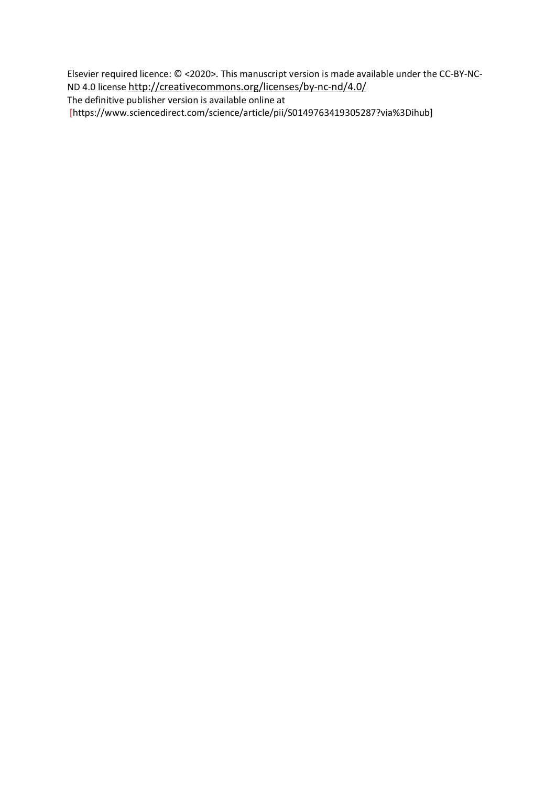Elsevier required licence: © <2020>. This manuscript version is made available under the CC-BY-NC-ND 4.0 license<http://creativecommons.org/licenses/by-nc-nd/4.0/>

The definitive publisher version is available online at

[https://www.sciencedirect.com/science/article/pii/S0149763419305287?via%3Dihub]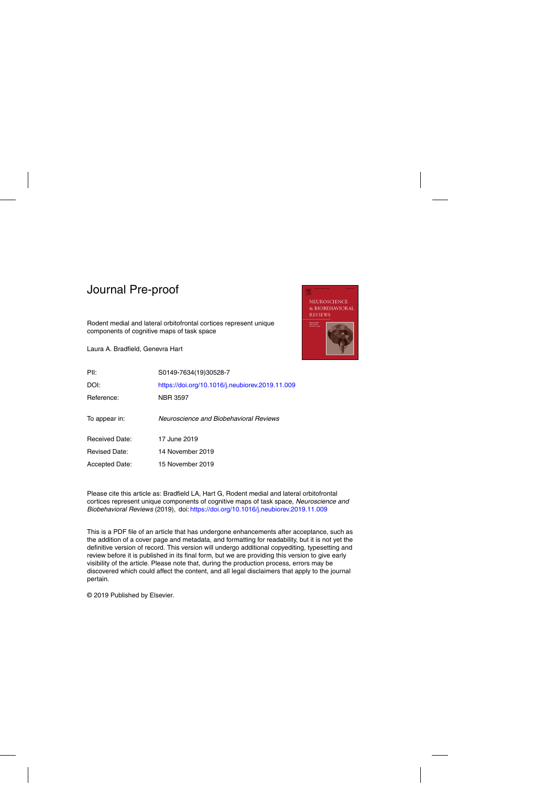Rodent medial and lateral orbitofrontal cortices represent unique components of cognitive maps of task space

Laura A. Bradfield, Genevra Hart



| PII:                  | S0149-7634(19)30528-7                           |
|-----------------------|-------------------------------------------------|
| DOI:                  | https://doi.org/10.1016/j.neubiorev.2019.11.009 |
| Reference:            | <b>NBR 3597</b>                                 |
| To appear in:         | Neuroscience and Biobehavioral Reviews          |
| <b>Received Date:</b> | 17 June 2019                                    |
| <b>Revised Date:</b>  | 14 November 2019                                |
| <b>Accepted Date:</b> | 15 November 2019                                |

Please cite this article as: Bradfield LA, Hart G, Rodent medial and lateral orbitofrontal cortices represent unique components of cognitive maps of task space, Neuroscience and Biobehavioral Reviews (2019), doi: <https://doi.org/10.1016/j.neubiorev.2019.11.009>

This is a PDF file of an article that has undergone enhancements after acceptance, such as the addition of a cover page and metadata, and formatting for readability, but it is not yet the definitive version of record. This version will undergo additional copyediting, typesetting and review before it is published in its final form, but we are providing this version to give early visibility of the article. Please note that, during the production process, errors may be discovered which could affect the content, and all legal disclaimers that apply to the journal pertain.

© 2019 Published by Elsevier.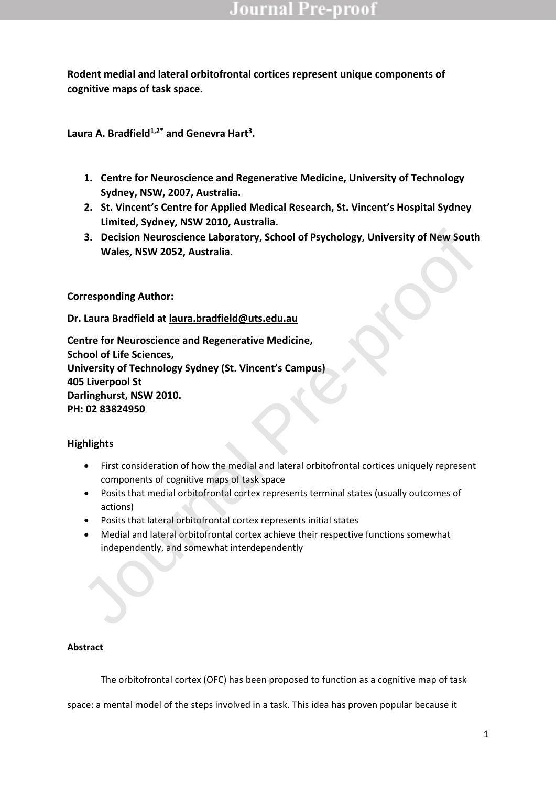**Rodent medial and lateral orbitofrontal cortices represent unique components of cognitive maps of task space.**

**Laura A. Bradfield1,2\* and Genevra Hart<sup>3</sup> .**

- **1. Centre for Neuroscience and Regenerative Medicine, University of Technology Sydney, NSW, 2007, Australia.**
- **2. St. Vincent's Centre for Applied Medical Research, St. Vincent's Hospital Sydney Limited, Sydney, NSW 2010, Australia.**
- **3. Decision Neuroscience Laboratory, School of Psychology, University of New South Wales, NSW 2052, Australia.**

**Corresponding Author:**

**Dr. Laura Bradfield at laura.bradfield@uts.edu.au**

**Centre for Neuroscience and Regenerative Medicine, School of Life Sciences, University of Technology Sydney (St. Vincent's Campus) 405 Liverpool St Darlinghurst, NSW 2010. PH: 02 83824950** 3. Decision Neuroscience Laboratory, School of Psychology, University of New Sout<br>
Wales, NSW 2052, Australia.<br>
Irresponding Author:<br>
Laura Bradfield at <u>laura.bradfield@uts.edu.au</u><br>
Introduce of the Sciences,<br>
where for N

### **Highlights**

- First consideration of how the medial and lateral orbitofrontal cortices uniquely represent components of cognitive maps of task space
- Posits that medial orbitofrontal cortex represents terminal states (usually outcomes of actions)
- Posits that lateral orbitofrontal cortex represents initial states
- Medial and lateral orbitofrontal cortex achieve their respective functions somewhat independently, and somewhat interdependently

### **Abstract**

The orbitofrontal cortex (OFC) has been proposed to function as a cognitive map of task

space: a mental model of the steps involved in a task. This idea has proven popular because it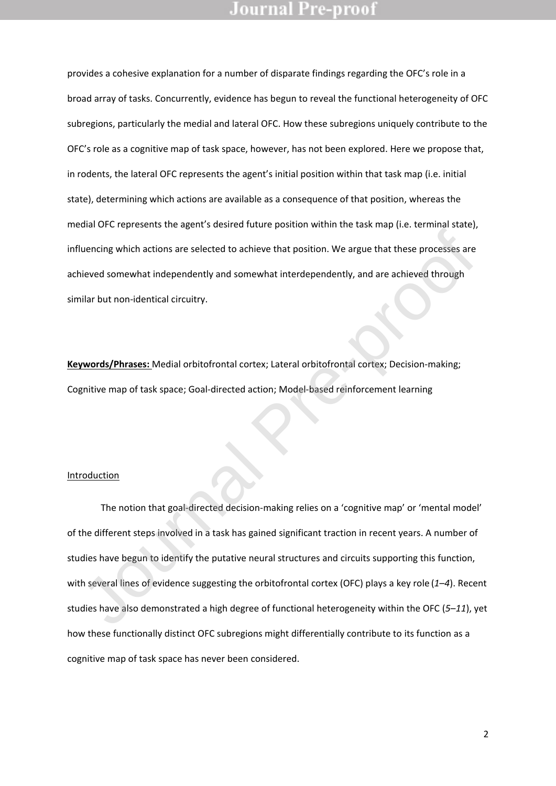provides a cohesive explanation for a number of disparate findings regarding the OFC's role in a broad array of tasks. Concurrently, evidence has begun to reveal the functional heterogeneity of OFC subregions, particularly the medial and lateral OFC. How these subregions uniquely contribute to the OFC's role as a cognitive map of task space, however, has not been explored. Here we propose that, in rodents, the lateral OFC represents the agent's initial position within that task map (i.e. initial state), determining which actions are available as a consequence of that position, whereas the medial OFC represents the agent's desired future position within the task map (i.e. terminal state), influencing which actions are selected to achieve that position. We argue that these processes are achieved somewhat independently and somewhat interdependently, and are achieved through similar but non-identical circuitry.

**Keywords/Phrases:** Medial orbitofrontal cortex; Lateral orbitofrontal cortex; Decision-making; Cognitive map of task space; Goal-directed action; Model-based reinforcement learning

#### Introduction

The notion that goal-directed decision-making relies on a 'cognitive map' or 'mental model' of the different steps involved in a task has gained significant traction in recent years. A number of studies have begun to identify the putative neural structures and circuits supporting this function, with several lines of evidence suggesting the orbitofrontal cortex (OFC) plays a key role (*1*–*4*). Recent studies have also demonstrated a high degree of functional heterogeneity within the OFC (*5*–*11*), yet how these functionally distinct OFC subregions might differentially contribute to its function as a cognitive map of task space has never been considered. Iluencing which actions are selected to achieve that position. We argue that these processes are<br>nieved somewhat independently and somewhat interdependently, and are achieved through<br>nilar but non-identical circuitry.<br>**ywo**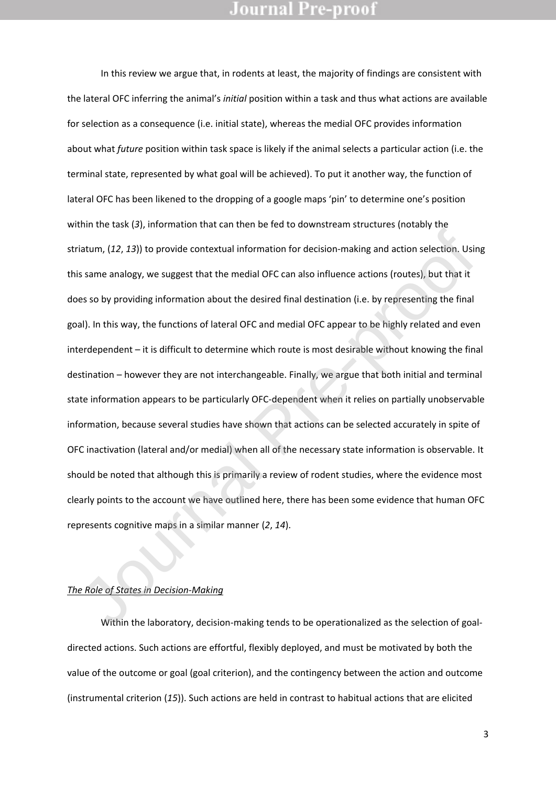In this review we argue that, in rodents at least, the majority of findings are consistent with the lateral OFC inferring the animal's *initial* position within a task and thus what actions are available for selection as a consequence (i.e. initial state), whereas the medial OFC provides information about what *future* position within task space is likely if the animal selects a particular action (i.e. the terminal state, represented by what goal will be achieved). To put it another way, the function of lateral OFC has been likened to the dropping of a google maps 'pin' to determine one's position within the task (*3*), information that can then be fed to downstream structures (notably the striatum, (*12*, *13*)) to provide contextual information for decision-making and action selection. Using this same analogy, we suggest that the medial OFC can also influence actions (routes), but that it does so by providing information about the desired final destination (i.e. by representing the final goal). In this way, the functions of lateral OFC and medial OFC appear to be highly related and even interdependent – it is difficult to determine which route is most desirable without knowing the final destination – however they are not interchangeable. Finally, we argue that both initial and terminal state information appears to be particularly OFC-dependent when it relies on partially unobservable information, because several studies have shown that actions can be selected accurately in spite of OFC inactivation (lateral and/or medial) when all of the necessary state information is observable. It should be noted that although this is primarily a review of rodent studies, where the evidence most clearly points to the account we have outlined here, there has been some evidence that human OFC represents cognitive maps in a similar manner (*2*, *14*). iatum, (12, 13)) to provide contextual information for decision-making and action selection. Usis<br>same analogy, we suggest that the medial OFC can also influence actions (routes), but that it<br>es so by providing information

### *The Role of States in Decision-Making*

Within the laboratory, decision-making tends to be operationalized as the selection of goaldirected actions. Such actions are effortful, flexibly deployed, and must be motivated by both the value of the outcome or goal (goal criterion), and the contingency between the action and outcome (instrumental criterion (*15*)). Such actions are held in contrast to habitual actions that are elicited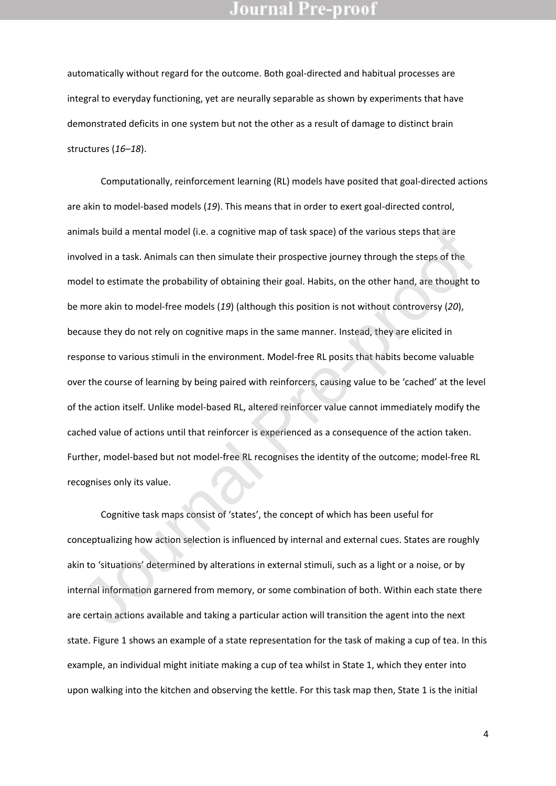automatically without regard for the outcome. Both goal-directed and habitual processes are integral to everyday functioning, yet are neurally separable as shown by experiments that have demonstrated deficits in one system but not the other as a result of damage to distinct brain structures (*16*–*18*).

Computationally, reinforcement learning (RL) models have posited that goal-directed actions are akin to model-based models (*19*). This means that in order to exert goal-directed control, animals build a mental model (i.e. a cognitive map of task space) of the various steps that are involved in a task. Animals can then simulate their prospective journey through the steps of the model to estimate the probability of obtaining their goal. Habits, on the other hand, are thought to be more akin to model-free models (*19*) (although this position is not without controversy (*20*), because they do not rely on cognitive maps in the same manner. Instead, they are elicited in response to various stimuli in the environment. Model-free RL posits that habits become valuable over the course of learning by being paired with reinforcers, causing value to be 'cached' at the level of the action itself. Unlike model-based RL, altered reinforcer value cannot immediately modify the cached value of actions until that reinforcer is experienced as a consequence of the action taken. Further, model-based but not model-free RL recognises the identity of the outcome; model-free RL recognises only its value. imals build a mental model (i.e. a cognitive map of task space) of the various steps that are<br>volved in a task. Animals can then simulate their prospective journey through the steps of the<br>volved in a task. Animals can the

Cognitive task maps consist of 'states', the concept of which has been useful for conceptualizing how action selection is influenced by internal and external cues. States are roughly akin to 'situations' determined by alterations in external stimuli, such as a light or a noise, or by internal information garnered from memory, or some combination of both. Within each state there are certain actions available and taking a particular action will transition the agent into the next state. Figure 1 shows an example of a state representation for the task of making a cup of tea. In this example, an individual might initiate making a cup of tea whilst in State 1, which they enter into upon walking into the kitchen and observing the kettle. For this task map then, State 1 is the initial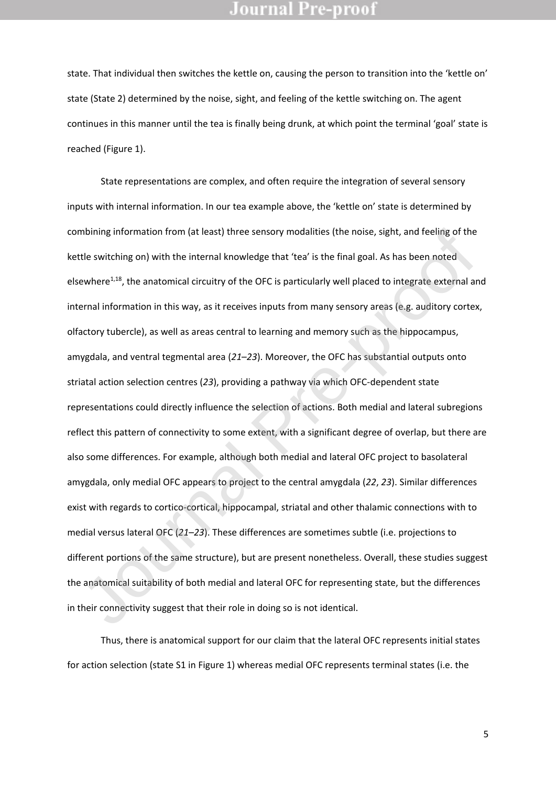state. That individual then switches the kettle on, causing the person to transition into the 'kettle on' state (State 2) determined by the noise, sight, and feeling of the kettle switching on. The agent continues in this manner until the tea is finally being drunk, at which point the terminal 'goal' state is reached (Figure 1).

State representations are complex, and often require the integration of several sensory inputs with internal information. In our tea example above, the 'kettle on' state is determined by combining information from (at least) three sensory modalities (the noise, sight, and feeling of the kettle switching on) with the internal knowledge that 'tea' is the final goal. As has been noted elsewhere<sup>1,18</sup>, the anatomical circuitry of the OFC is particularly well placed to integrate external and internal information in this way, as it receives inputs from many sensory areas (e.g. auditory cortex, olfactory tubercle), as well as areas central to learning and memory such as the hippocampus, amygdala, and ventral tegmental area (*21*–*23*). Moreover, the OFC has substantial outputs onto striatal action selection centres (*23*), providing a pathway via which OFC-dependent state representations could directly influence the selection of actions. Both medial and lateral subregions reflect this pattern of connectivity to some extent, with a significant degree of overlap, but there are also some differences. For example, although both medial and lateral OFC project to basolateral amygdala, only medial OFC appears to project to the central amygdala (*22*, *23*). Similar differences exist with regards to cortico-cortical, hippocampal, striatal and other thalamic connections with to medial versus lateral OFC (*21*–*23*). These differences are sometimes subtle (i.e. projections to different portions of the same structure), but are present nonetheless. Overall, these studies suggest the anatomical suitability of both medial and lateral OFC for representing state, but the differences in their connectivity suggest that their role in doing so is not identical. mbining information from (at least) three sensory modalities (the noise, sight, and feeling of the<br>the switching on) with the internal knowledge that 'tea' is the final goal. As has been noted<br>ewhere<sup>1,18</sup>, the anatomical

Thus, there is anatomical support for our claim that the lateral OFC represents initial states for action selection (state S1 in Figure 1) whereas medial OFC represents terminal states (i.e. the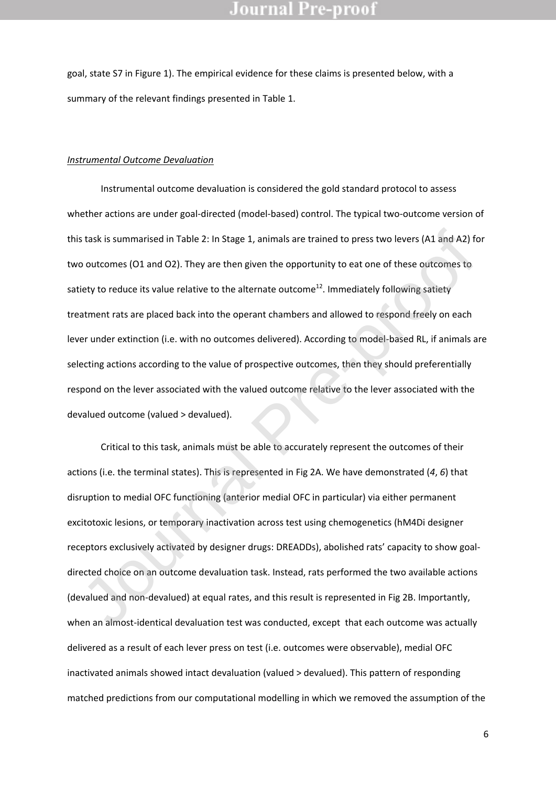goal, state S7 in Figure 1). The empirical evidence for these claims is presented below, with a summary of the relevant findings presented in Table 1.

#### *Instrumental Outcome Devaluation*

Instrumental outcome devaluation is considered the gold standard protocol to assess whether actions are under goal-directed (model-based) control. The typical two-outcome version of this task is summarised in Table 2: In Stage 1, animals are trained to press two levers (A1 and A2) for two outcomes (O1 and O2). They are then given the opportunity to eat one of these outcomes to satiety to reduce its value relative to the alternate outcome<sup>12</sup>. Immediately following satiety treatment rats are placed back into the operant chambers and allowed to respond freely on each lever under extinction (i.e. with no outcomes delivered). According to model-based RL, if animals are selecting actions according to the value of prospective outcomes, then they should preferentially respond on the lever associated with the valued outcome relative to the lever associated with the devalued outcome (valued > devalued). s task is summarised in Table 2: In Stage 1, animals are trained to press two levers (A1 and A2) fo outcomes (O1 and O2). They are then given the opportunity to eat one of these outcomes to outcomes (O1 and O2). They are t

Critical to this task, animals must be able to accurately represent the outcomes of their actions (i.e. the terminal states). This is represented in Fig 2A. We have demonstrated (*4*, *6*) that disruption to medial OFC functioning (anterior medial OFC in particular) via either permanent excitotoxic lesions, or temporary inactivation across test using chemogenetics (hM4Di designer receptors exclusively activated by designer drugs: DREADDs), abolished rats' capacity to show goaldirected choice on an outcome devaluation task. Instead, rats performed the two available actions (devalued and non-devalued) at equal rates, and this result is represented in Fig 2B. Importantly, when an almost-identical devaluation test was conducted, except that each outcome was actually delivered as a result of each lever press on test (i.e. outcomes were observable), medial OFC inactivated animals showed intact devaluation (valued > devalued). This pattern of responding matched predictions from our computational modelling in which we removed the assumption of the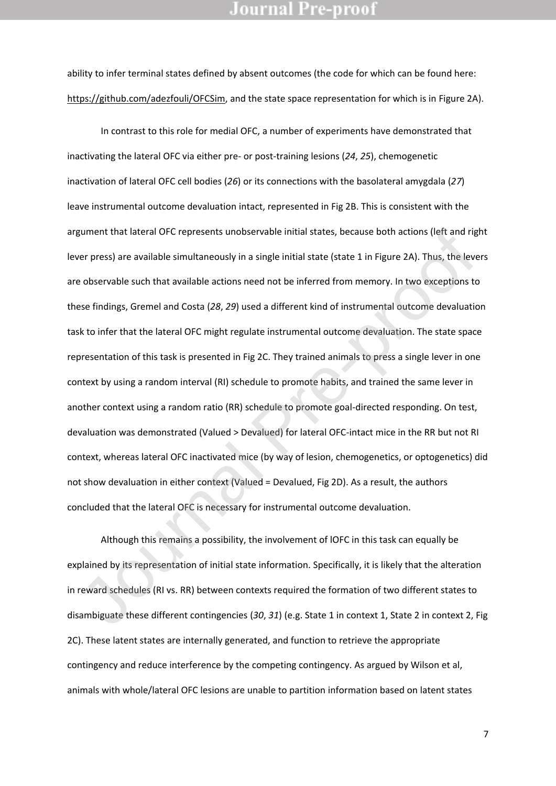ability to infer terminal states defined by absent outcomes (the code for which can be found here: [https://github.com/adezfouli/OFCSim,](https://github.com/adezfouli/OFCSim) and the state space representation for which is in Figure 2A).

In contrast to this role for medial OFC, a number of experiments have demonstrated that inactivating the lateral OFC via either pre- or post-training lesions (*24*, *25*), chemogenetic inactivation of lateral OFC cell bodies (*26*) or its connections with the basolateral amygdala (*27*) leave instrumental outcome devaluation intact, represented in Fig 2B. This is consistent with the argument that lateral OFC represents unobservable initial states, because both actions (left and right lever press) are available simultaneously in a single initial state (state 1 in Figure 2A). Thus, the levers are observable such that available actions need not be inferred from memory. In two exceptions to these findings, Gremel and Costa (*28*, *29*) used a different kind of instrumental outcome devaluation task to infer that the lateral OFC might regulate instrumental outcome devaluation. The state space representation of this task is presented in Fig 2C. They trained animals to press a single lever in one context by using a random interval (RI) schedule to promote habits, and trained the same lever in another context using a random ratio (RR) schedule to promote goal-directed responding. On test, devaluation was demonstrated (Valued > Devalued) for lateral OFC-intact mice in the RR but not RI context, whereas lateral OFC inactivated mice (by way of lesion, chemogenetics, or optogenetics) did not show devaluation in either context (Valued = Devalued, Fig 2D). As a result, the authors concluded that the lateral OFC is necessary for instrumental outcome devaluation. gument that lateral OFC represents unobservable initial states, because both actions (left and riger press) are available simultaneously in a single initial state (state 1 in Figure 2A). Thus, the leve observable such that

Although this remains a possibility, the involvement of lOFC in this task can equally be explained by its representation of initial state information. Specifically, it is likely that the alteration in reward schedules (RI vs. RR) between contexts required the formation of two different states to disambiguate these different contingencies (*30*, *31*) (e.g. State 1 in context 1, State 2 in context 2, Fig 2C). These latent states are internally generated, and function to retrieve the appropriate contingency and reduce interference by the competing contingency. As argued by Wilson et al, animals with whole/lateral OFC lesions are unable to partition information based on latent states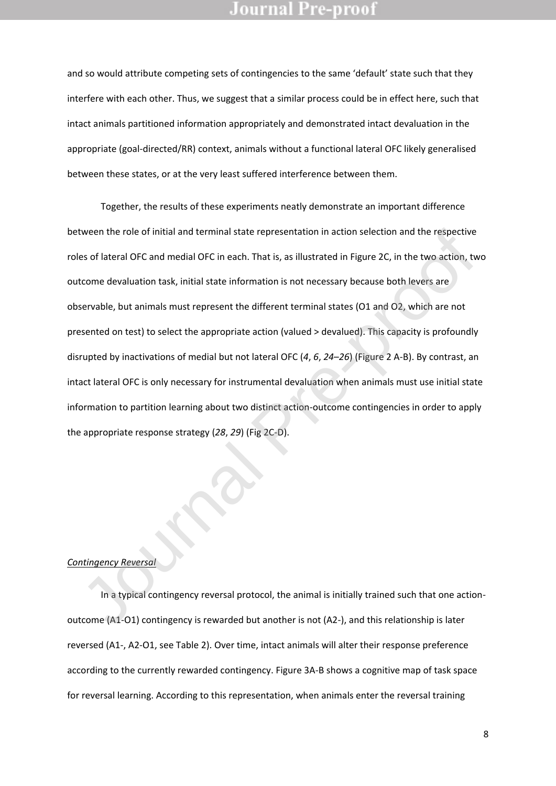and so would attribute competing sets of contingencies to the same 'default' state such that they interfere with each other. Thus, we suggest that a similar process could be in effect here, such that intact animals partitioned information appropriately and demonstrated intact devaluation in the appropriate (goal-directed/RR) context, animals without a functional lateral OFC likely generalised between these states, or at the very least suffered interference between them.

Together, the results of these experiments neatly demonstrate an important difference between the role of initial and terminal state representation in action selection and the respective roles of lateral OFC and medial OFC in each. That is, as illustrated in Figure 2C, in the two action, two outcome devaluation task, initial state information is not necessary because both levers are observable, but animals must represent the different terminal states (O1 and O2, which are not presented on test) to select the appropriate action (valued > devalued). This capacity is profoundly disrupted by inactivations of medial but not lateral OFC (*4*, *6*, *24*–*26*) (Figure 2 A-B). By contrast, an intact lateral OFC is only necessary for instrumental devaluation when animals must use initial state information to partition learning about two distinct action-outcome contingencies in order to apply the appropriate response strategy (*28*, *29*) (Fig 2C-D). tween the role of initial and terminal state representation in action selection and the respective<br>es of lateral OFC and medial OFC in each. That is, as illustrated in Figure 2C, in the two action, tw<br>tcome devaluation tas

#### *Contingency Reversal*

In a typical contingency reversal protocol, the animal is initially trained such that one actionoutcome (A1-O1) contingency is rewarded but another is not (A2-), and this relationship is later reversed (A1-, A2-O1, see Table 2). Over time, intact animals will alter their response preference according to the currently rewarded contingency. Figure 3A-B shows a cognitive map of task space for reversal learning. According to this representation, when animals enter the reversal training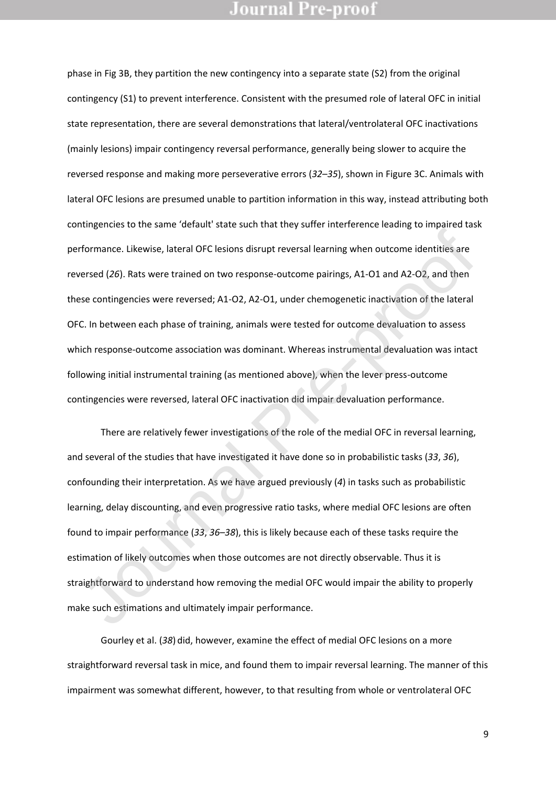phase in Fig 3B, they partition the new contingency into a separate state (S2) from the original contingency (S1) to prevent interference. Consistent with the presumed role of lateral OFC in initial state representation, there are several demonstrations that lateral/ventrolateral OFC inactivations (mainly lesions) impair contingency reversal performance, generally being slower to acquire the reversed response and making more perseverative errors (*32*–*35*), shown in Figure 3C. Animals with lateral OFC lesions are presumed unable to partition information in this way, instead attributing both contingencies to the same 'default' state such that they suffer interference leading to impaired task performance. Likewise, lateral OFC lesions disrupt reversal learning when outcome identities are reversed (*26*). Rats were trained on two response-outcome pairings, A1-O1 and A2-O2, and then these contingencies were reversed; A1-O2, A2-O1, under chemogenetic inactivation of the lateral OFC. In between each phase of training, animals were tested for outcome devaluation to assess which response-outcome association was dominant. Whereas instrumental devaluation was intact following initial instrumental training (as mentioned above), when the lever press-outcome contingencies were reversed, lateral OFC inactivation did impair devaluation performance.

There are relatively fewer investigations of the role of the medial OFC in reversal learning, and several of the studies that have investigated it have done so in probabilistic tasks (*33*, *36*), confounding their interpretation. As we have argued previously (*4*) in tasks such as probabilistic learning, delay discounting, and even progressive ratio tasks, where medial OFC lesions are often found to impair performance (*33*, *36*–*38*), this is likely because each of these tasks require the estimation of likely outcomes when those outcomes are not directly observable. Thus it is straightforward to understand how removing the medial OFC would impair the ability to properly make such estimations and ultimately impair performance. rformance. Likewise, lateral OFC lesions disrupt reversal learning when outcome identities are<br>versed (26). Rats were trained on two response-outcome pairings, A1-O1 and A2-O2, and then<br>ese contingencies were reversed; A1-

Gourley et al. (*38*) did, however, examine the effect of medial OFC lesions on a more straightforward reversal task in mice, and found them to impair reversal learning. The manner of this impairment was somewhat different, however, to that resulting from whole or ventrolateral OFC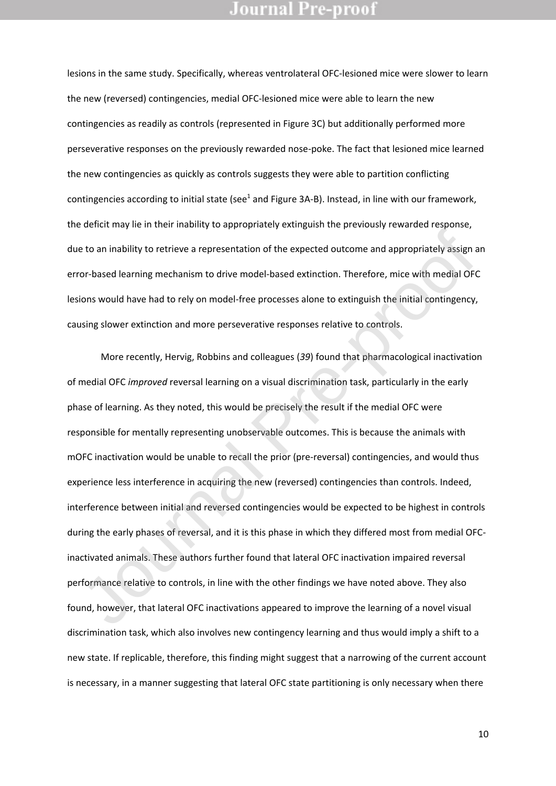lesions in the same study. Specifically, whereas ventrolateral OFC-lesioned mice were slower to learn the new (reversed) contingencies, medial OFC-lesioned mice were able to learn the new contingencies as readily as controls (represented in Figure 3C) but additionally performed more perseverative responses on the previously rewarded nose-poke. The fact that lesioned mice learned the new contingencies as quickly as controls suggests they were able to partition conflicting contingencies according to initial state (see<sup>1</sup> and Figure 3A-B). Instead, in line with our framework, the deficit may lie in their inability to appropriately extinguish the previously rewarded response, due to an inability to retrieve a representation of the expected outcome and appropriately assign an error-based learning mechanism to drive model-based extinction. Therefore, mice with medial OFC lesions would have had to rely on model-free processes alone to extinguish the initial contingency, causing slower extinction and more perseverative responses relative to controls.

More recently, Hervig, Robbins and colleagues (*39*) found that pharmacological inactivation of medial OFC *improved* reversal learning on a visual discrimination task, particularly in the early phase of learning. As they noted, this would be precisely the result if the medial OFC were responsible for mentally representing unobservable outcomes. This is because the animals with mOFC inactivation would be unable to recall the prior (pre-reversal) contingencies, and would thus experience less interference in acquiring the new (reversed) contingencies than controls. Indeed, interference between initial and reversed contingencies would be expected to be highest in controls during the early phases of reversal, and it is this phase in which they differed most from medial OFCinactivated animals. These authors further found that lateral OFC inactivation impaired reversal performance relative to controls, in line with the other findings we have noted above. They also found, however, that lateral OFC inactivations appeared to improve the learning of a novel visual discrimination task, which also involves new contingency learning and thus would imply a shift to a new state. If replicable, therefore, this finding might suggest that a narrowing of the current account is necessary, in a manner suggesting that lateral OFC state partitioning is only necessary when there e to an inability to retrieve a representation of the expected outcome and appropriately assign and the complete are representation of the expected outcome and appropriately assign and the medial OF (or the medial OF (or t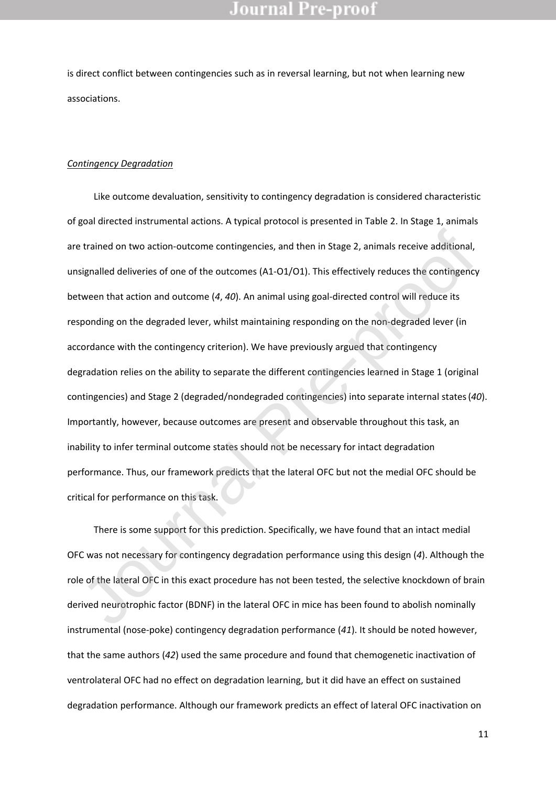is direct conflict between contingencies such as in reversal learning, but not when learning new associations.

#### *Contingency Degradation*

Like outcome devaluation, sensitivity to contingency degradation is considered characteristic of goal directed instrumental actions. A typical protocol is presented in Table 2. In Stage 1, animals are trained on two action-outcome contingencies, and then in Stage 2, animals receive additional, unsignalled deliveries of one of the outcomes (A1-O1/O1). This effectively reduces the contingency between that action and outcome (*4*, *40*). An animal using goal-directed control will reduce its responding on the degraded lever, whilst maintaining responding on the non-degraded lever (in accordance with the contingency criterion). We have previously argued that contingency degradation relies on the ability to separate the different contingencies learned in Stage 1 (original contingencies) and Stage 2 (degraded/nondegraded contingencies) into separate internal states(*40*). Importantly, however, because outcomes are present and observable throughout this task, an inability to infer terminal outcome states should not be necessary for intact degradation performance. Thus, our framework predicts that the lateral OFC but not the medial OFC should be critical for performance on this task. trained on two action-outcome contingencies, and then in Stage 2, animals receive additional,<br>signalled deliveries of one of the outcomes (A1-O1/O1). This effectively reduces the contingency<br>tween that action and outcome (

There is some support for this prediction. Specifically, we have found that an intact medial OFC was not necessary for contingency degradation performance using this design (*4*). Although the role of the lateral OFC in this exact procedure has not been tested, the selective knockdown of brain derived neurotrophic factor (BDNF) in the lateral OFC in mice has been found to abolish nominally instrumental (nose-poke) contingency degradation performance (*41*). It should be noted however, that the same authors (*42*) used the same procedure and found that chemogenetic inactivation of ventrolateral OFC had no effect on degradation learning, but it did have an effect on sustained degradation performance. Although our framework predicts an effect of lateral OFC inactivation on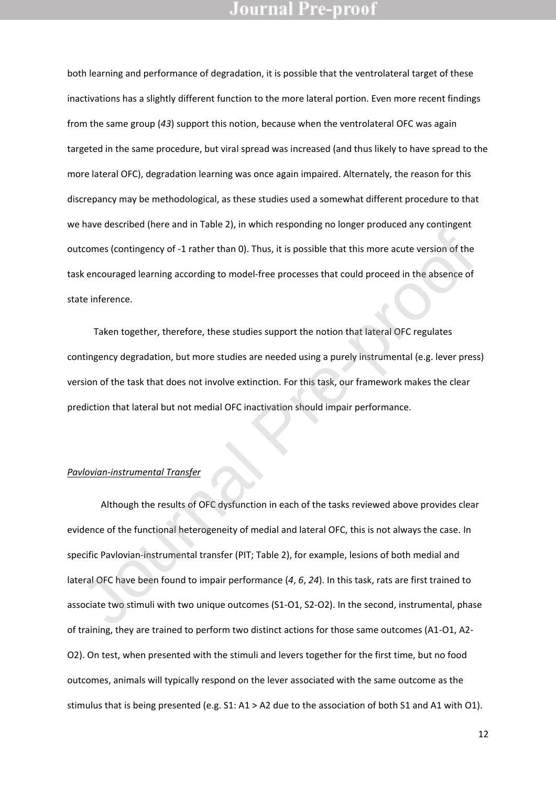both learning and performance of degradation, it is possible that the ventrolateral target of these inactivations has a slightly different function to the more lateral portion. Even more recent findings from the same group (*43*) support this notion, because when the ventrolateral OFC was again targeted in the same procedure, but viral spread was increased (and thus likely to have spread to the more lateral OFC), degradation learning was once again impaired. Alternately, the reason for this discrepancy may be methodological, as these studies used a somewhat different procedure to that we have described (here and in Table 2), in which responding no longer produced any contingent outcomes (contingency of -1 rather than 0). Thus, it is possible that this more acute version of the task encouraged learning according to model-free processes that could proceed in the absence of state inference.

Taken together, therefore, these studies support the notion that lateral OFC regulates contingency degradation, but more studies are needed using a purely instrumental (e.g. lever press) version of the task that does not involve extinction. For this task, our framework makes the clear prediction that lateral but not medial OFC inactivation should impair performance.

#### *Pavlovian-instrumental Transfer*

Although the results of OFC dysfunction in each of the tasks reviewed above provides clear evidence of the functional heterogeneity of medial and lateral OFC, this is not always the case. In specific Pavlovian-instrumental transfer (PIT; Table 2), for example, lesions of both medial and lateral OFC have been found to impair performance (*4*, *6*, *24*). In this task, rats are first trained to associate two stimuli with two unique outcomes (S1-O1, S2-O2). In the second, instrumental, phase of training, they are trained to perform two distinct actions for those same outcomes (A1-O1, A2- O2). On test, when presented with the stimuli and levers together for the first time, but no food outcomes, animals will typically respond on the lever associated with the same outcome as the stimulus that is being presented (e.g. S1: A1 > A2 due to the association of both S1 and A1 with O1). toomes (contingency of -1 rather than 0). Thus, it is possible that this more acute version of the<br>
Sk encouraged learning according to model-free processes that could proceed in the absence of<br>
the inference.<br>
Taken toget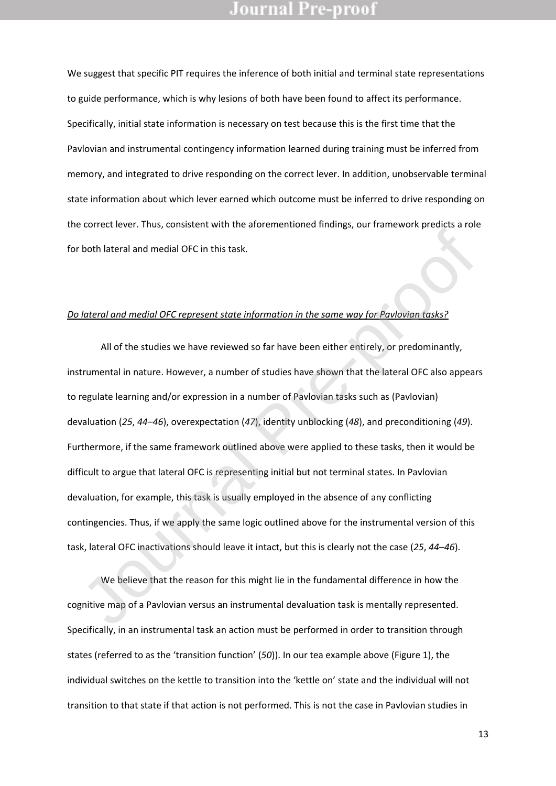We suggest that specific PIT requires the inference of both initial and terminal state representations to guide performance, which is why lesions of both have been found to affect its performance. Specifically, initial state information is necessary on test because this is the first time that the Pavlovian and instrumental contingency information learned during training must be inferred from memory, and integrated to drive responding on the correct lever. In addition, unobservable terminal state information about which lever earned which outcome must be inferred to drive responding on the correct lever. Thus, consistent with the aforementioned findings, our framework predicts a role for both lateral and medial OFC in this task.

#### *Do lateral and medial OFC represent state information in the same way for Pavlovian tasks?*

All of the studies we have reviewed so far have been either entirely, or predominantly, instrumental in nature. However, a number of studies have shown that the lateral OFC also appears to regulate learning and/or expression in a number of Pavlovian tasks such as (Pavlovian) devaluation (*25*, *44*–*46*), overexpectation (*47*), identity unblocking (*48*), and preconditioning (*49*). Furthermore, if the same framework outlined above were applied to these tasks, then it would be difficult to argue that lateral OFC is representing initial but not terminal states. In Pavlovian devaluation, for example, this task is usually employed in the absence of any conflicting contingencies. Thus, if we apply the same logic outlined above for the instrumental version of this task, lateral OFC inactivations should leave it intact, but this is clearly not the case (*25*, *44*–*46*). For the same of this track is the function in the same way for Pavilovian Losks?<br>
Journal and medial OFC represent state information in the same way for Pavilovian Losks?<br>
All of the studies we have reviewed so far have be

We believe that the reason for this might lie in the fundamental difference in how the cognitive map of a Pavlovian versus an instrumental devaluation task is mentally represented. Specifically, in an instrumental task an action must be performed in order to transition through states (referred to as the 'transition function' (*50*)). In our tea example above (Figure 1), the individual switches on the kettle to transition into the 'kettle on' state and the individual will not transition to that state if that action is not performed. This is not the case in Pavlovian studies in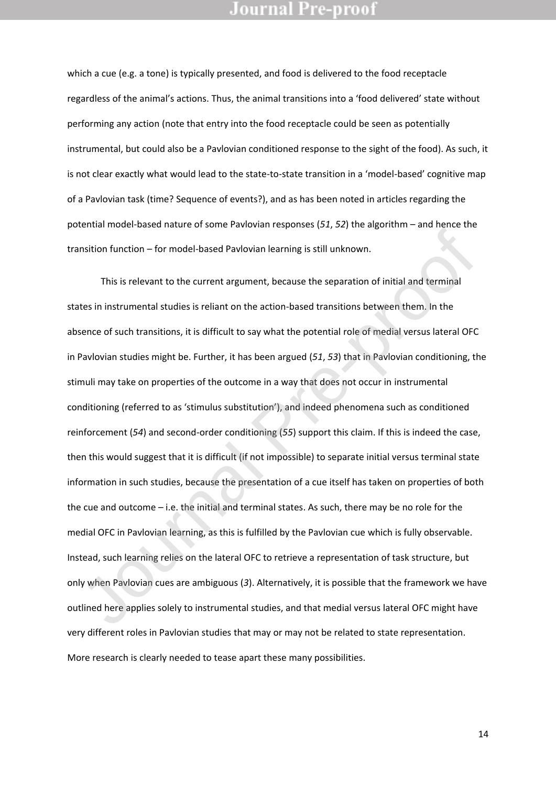which a cue (e.g. a tone) is typically presented, and food is delivered to the food receptacle regardless of the animal's actions. Thus, the animal transitions into a 'food delivered' state without performing any action (note that entry into the food receptacle could be seen as potentially instrumental, but could also be a Pavlovian conditioned response to the sight of the food). As such, it is not clear exactly what would lead to the state-to-state transition in a 'model-based' cognitive map of a Pavlovian task (time? Sequence of events?), and as has been noted in articles regarding the potential model-based nature of some Pavlovian responses (*51*, *52*) the algorithm – and hence the transition function – for model-based Pavlovian learning is still unknown.

This is relevant to the current argument, because the separation of initial and terminal states in instrumental studies is reliant on the action-based transitions between them. In the absence of such transitions, it is difficult to say what the potential role of medial versus lateral OFC in Pavlovian studies might be. Further, it has been argued (*51*, *53*) that in Pavlovian conditioning, the stimuli may take on properties of the outcome in a way that does not occur in instrumental conditioning (referred to as 'stimulus substitution'), and indeed phenomena such as conditioned reinforcement (*54*) and second-order conditioning (*55*) support this claim. If this is indeed the case, then this would suggest that it is difficult (if not impossible) to separate initial versus terminal state information in such studies, because the presentation of a cue itself has taken on properties of both the cue and outcome – i.e. the initial and terminal states. As such, there may be no role for the medial OFC in Pavlovian learning, as this is fulfilled by the Pavlovian cue which is fully observable. Instead, such learning relies on the lateral OFC to retrieve a representation of task structure, but only when Pavlovian cues are ambiguous (*3*). Alternatively, it is possible that the framework we have outlined here applies solely to instrumental studies, and that medial versus lateral OFC might have very different roles in Pavlovian studies that may or may not be related to state representation. More research is clearly needed to tease apart these many possibilities. Instition function – for model-based Pavlovian learning is still unknown.<br>
This is relevant to the current argument, because the separation of initial and terminal<br>
Ites in instrumental studies is reliant on the action-bas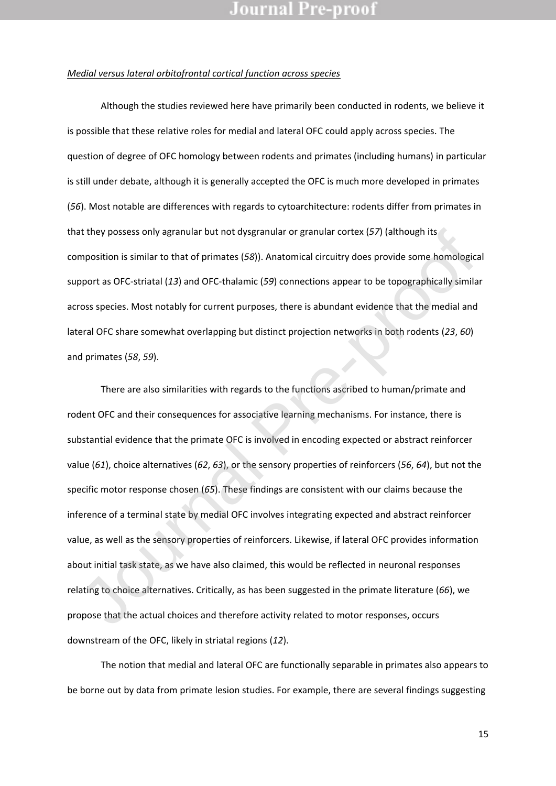#### *Medial versus lateral orbitofrontal cortical function across species*

Although the studies reviewed here have primarily been conducted in rodents, we believe it is possible that these relative roles for medial and lateral OFC could apply across species. The question of degree of OFC homology between rodents and primates (including humans) in particular is still under debate, although it is generally accepted the OFC is much more developed in primates (*56*). Most notable are differences with regards to cytoarchitecture: rodents differ from primates in that they possess only agranular but not dysgranular or granular cortex (*57*) (although its composition is similar to that of primates (*58*)). Anatomical circuitry does provide some homological support as OFC-striatal (*13*) and OFC-thalamic (*59*) connections appear to be topographically similar across species. Most notably for current purposes, there is abundant evidence that the medial and lateral OFC share somewhat overlapping but distinct projection networks in both rodents (*23*, *60*) and primates (*58*, *59*).

There are also similarities with regards to the functions ascribed to human/primate and rodent OFC and their consequences for associative learning mechanisms. For instance, there is substantial evidence that the primate OFC is involved in encoding expected or abstract reinforcer value (*61*), choice alternatives (*62*, *63*), or the sensory properties of reinforcers (*56*, *64*), but not the specific motor response chosen (*65*). These findings are consistent with our claims because the inference of a terminal state by medial OFC involves integrating expected and abstract reinforcer value, as well as the sensory properties of reinforcers. Likewise, if lateral OFC provides information about initial task state, as we have also claimed, this would be reflected in neuronal responses relating to choice alternatives. Critically, as has been suggested in the primate literature (*66*), we propose that the actual choices and therefore activity related to motor responses, occurs downstream of the OFC, likely in striatal regions (*12*). at they possess only agranular but not dysgranular or granular cortex (57) (although its<br>mposition is similar to that of primates (58)). Anatomical circuitry does provide some homologic<br>pport as OFC-striatal (13) and OFC-t

The notion that medial and lateral OFC are functionally separable in primates also appears to be borne out by data from primate lesion studies. For example, there are several findings suggesting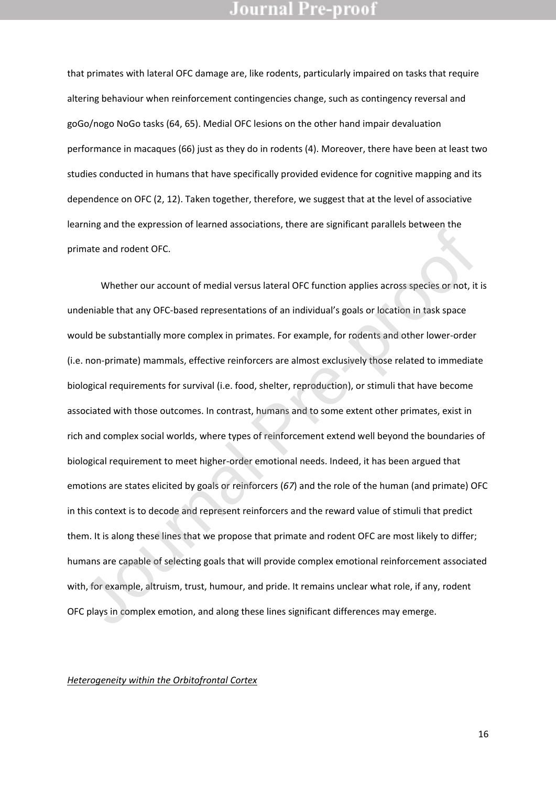that primates with lateral OFC damage are, like rodents, particularly impaired on tasks that require altering behaviour when reinforcement contingencies change, such as contingency reversal and goGo/nogo NoGo tasks (64, 65). Medial OFC lesions on the other hand impair devaluation performance in macaques (66) just as they do in rodents (4). Moreover, there have been at least two studies conducted in humans that have specifically provided evidence for cognitive mapping and its dependence on OFC (2, 12). Taken together, therefore, we suggest that at the level of associative learning and the expression of learned associations, there are significant parallels between the primate and rodent OFC.

Whether our account of medial versus lateral OFC function applies across species or not, it is undeniable that any OFC-based representations of an individual's goals or location in task space would be substantially more complex in primates. For example, for rodents and other lower-order (i.e. non-primate) mammals, effective reinforcers are almost exclusively those related to immediate biological requirements for survival (i.e. food, shelter, reproduction), or stimuli that have become associated with those outcomes. In contrast, humans and to some extent other primates, exist in rich and complex social worlds, where types of reinforcement extend well beyond the boundaries of biological requirement to meet higher-order emotional needs. Indeed, it has been argued that emotions are states elicited by goals or reinforcers (*67*) and the role of the human (and primate) OFC in this context is to decode and represent reinforcers and the reward value of stimuli that predict them. It is along these lines that we propose that primate and rodent OFC are most likely to differ; humans are capable of selecting goals that will provide complex emotional reinforcement associated with, for example, altruism, trust, humour, and pride. It remains unclear what role, if any, rodent OFC plays in complex emotion, and along these lines significant differences may emerge. mate and rodent OFC.<br>Whether our account of medial versus lateral OFC function applies across species or not, it<br>deniable that any OFC-based representations of an individual's goals or location in task space<br>ould be substa

#### *Heterogeneity within the Orbitofrontal Cortex*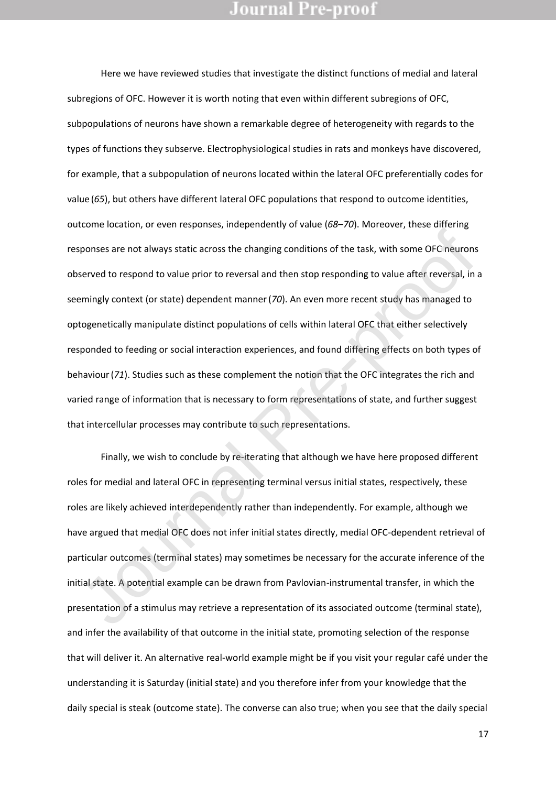Here we have reviewed studies that investigate the distinct functions of medial and lateral subregions of OFC. However it is worth noting that even within different subregions of OFC, subpopulations of neurons have shown a remarkable degree of heterogeneity with regards to the types of functions they subserve. Electrophysiological studies in rats and monkeys have discovered, for example, that a subpopulation of neurons located within the lateral OFC preferentially codes for value (*65*), but others have different lateral OFC populations that respond to outcome identities, outcome location, or even responses, independently of value (*68*–*70*). Moreover, these differing responses are not always static across the changing conditions of the task, with some OFC neurons observed to respond to value prior to reversal and then stop responding to value after reversal, in a seemingly context (or state) dependent manner(*70*). An even more recent study has managed to optogenetically manipulate distinct populations of cells within lateral OFC that either selectively responded to feeding or social interaction experiences, and found differing effects on both types of behaviour(*71*). Studies such as these complement the notion that the OFC integrates the rich and varied range of information that is necessary to form representations of state, and further suggest that intercellular processes may contribute to such representations. sponses are not always static across the changing conditions of the task, with some OFC neurons<br>served to respond to value prior to reversal and then stop responding to value after reversal, in<br>emingly context (or state) d

Finally, we wish to conclude by re-iterating that although we have here proposed different roles for medial and lateral OFC in representing terminal versus initial states, respectively, these roles are likely achieved interdependently rather than independently. For example, although we have argued that medial OFC does not infer initial states directly, medial OFC-dependent retrieval of particular outcomes (terminal states) may sometimes be necessary for the accurate inference of the initial state. A potential example can be drawn from Pavlovian-instrumental transfer, in which the presentation of a stimulus may retrieve a representation of its associated outcome (terminal state), and infer the availability of that outcome in the initial state, promoting selection of the response that will deliver it. An alternative real-world example might be if you visit your regular café under the understanding it is Saturday (initial state) and you therefore infer from your knowledge that the daily special is steak (outcome state). The converse can also true; when you see that the daily special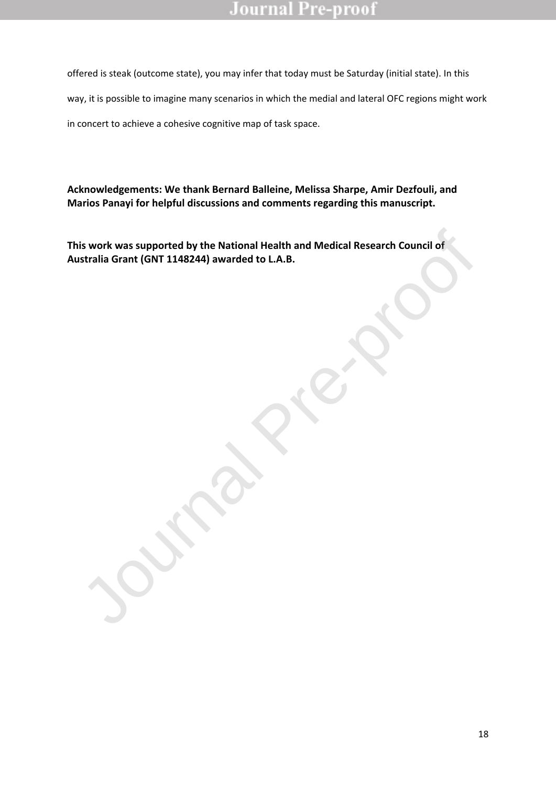offered is steak (outcome state), you may infer that today must be Saturday (initial state). In this way, it is possible to imagine many scenarios in which the medial and lateral OFC regions might work in concert to achieve a cohesive cognitive map of task space.

**Acknowledgements: We thank Bernard Balleine, Melissa Sharpe, Amir Dezfouli, and Marios Panayi for helpful discussions and comments regarding this manuscript.** 

**This work was supported by the National Health and Medical Research Council of**  This work was supported by the National Health and Medical Research Council of Australia Grant (GNT 1148244) awarded to L.A.B. **Journal Pre-proof of Australia Grant (GNT 1148244)** awarded to L.A.B.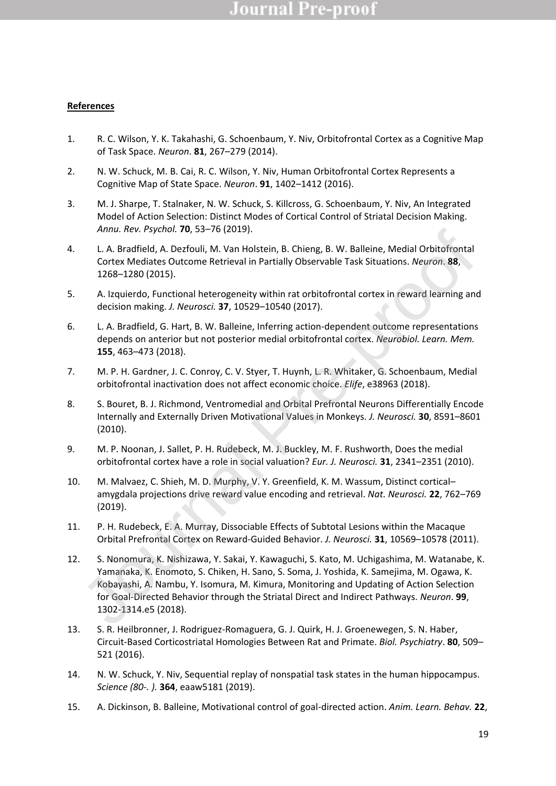### **References**

- 1. R. C. Wilson, Y. K. Takahashi, G. Schoenbaum, Y. Niv, Orbitofrontal Cortex as a Cognitive Map of Task Space. *Neuron*. **81**, 267–279 (2014).
- 2. N. W. Schuck, M. B. Cai, R. C. Wilson, Y. Niv, Human Orbitofrontal Cortex Represents a Cognitive Map of State Space. *Neuron*. **91**, 1402–1412 (2016).
- 3. M. J. Sharpe, T. Stalnaker, N. W. Schuck, S. Killcross, G. Schoenbaum, Y. Niv, An Integrated Model of Action Selection: Distinct Modes of Cortical Control of Striatal Decision Making. *Annu. Rev. Psychol.* **70**, 53–76 (2019).
- 4. L. A. Bradfield, A. Dezfouli, M. Van Holstein, B. Chieng, B. W. Balleine, Medial Orbitofrontal Cortex Mediates Outcome Retrieval in Partially Observable Task Situations. *Neuron*. **88**, 1268–1280 (2015).
- 5. A. Izquierdo, Functional heterogeneity within rat orbitofrontal cortex in reward learning and decision making. *J. Neurosci.* **37**, 10529–10540 (2017).
- 6. L. A. Bradfield, G. Hart, B. W. Balleine, Inferring action-dependent outcome representations depends on anterior but not posterior medial orbitofrontal cortex. *Neurobiol. Learn. Mem.* **155**, 463–473 (2018).
- 7. M. P. H. Gardner, J. C. Conroy, C. V. Styer, T. Huynh, L. R. Whitaker, G. Schoenbaum, Medial orbitofrontal inactivation does not affect economic choice. *Elife*, e38963 (2018).
- 8. S. Bouret, B. J. Richmond, Ventromedial and Orbital Prefrontal Neurons Differentially Encode Internally and Externally Driven Motivational Values in Monkeys. *J. Neurosci.* **30**, 8591–8601 (2010).
- 9. M. P. Noonan, J. Sallet, P. H. Rudebeck, M. J. Buckley, M. F. Rushworth, Does the medial orbitofrontal cortex have a role in social valuation? *Eur. J. Neurosci.* **31**, 2341–2351 (2010).
- 10. M. Malvaez, C. Shieh, M. D. Murphy, V. Y. Greenfield, K. M. Wassum, Distinct cortical– amygdala projections drive reward value encoding and retrieval. *Nat. Neurosci.* **22**, 762–769 (2019).
- 11. P. H. Rudebeck, E. A. Murray, Dissociable Effects of Subtotal Lesions within the Macaque Orbital Prefrontal Cortex on Reward-Guided Behavior. *J. Neurosci.* **31**, 10569–10578 (2011).
- 12. S. Nonomura, K. Nishizawa, Y. Sakai, Y. Kawaguchi, S. Kato, M. Uchigashima, M. Watanabe, K. Yamanaka, K. Enomoto, S. Chiken, H. Sano, S. Soma, J. Yoshida, K. Samejima, M. Ogawa, K. Kobayashi, A. Nambu, Y. Isomura, M. Kimura, Monitoring and Updating of Action Selection for Goal-Directed Behavior through the Striatal Direct and Indirect Pathways. *Neuron*. **99**, 1302-1314.e5 (2018). Annu, nev. Psychol. N, saa-76 (2019).<br>
L. A. Bradfield, A. Dexfouli, M. Van Holstein, B. Chieng, B. W. Balleine, Medial Orbitofrontal<br>
Cortex Mediates Outcome Retrieval in Partially Observable Task Situations. Neuron. 88,<br>
- 13. S. R. Heilbronner, J. Rodriguez-Romaguera, G. J. Quirk, H. J. Groenewegen, S. N. Haber, Circuit-Based Corticostriatal Homologies Between Rat and Primate. *Biol. Psychiatry*. **80**, 509– 521 (2016).
- 14. N. W. Schuck, Y. Niv, Sequential replay of nonspatial task states in the human hippocampus. *Science (80-. ).* **364**, eaaw5181 (2019).
- 15. A. Dickinson, B. Balleine, Motivational control of goal-directed action. *Anim. Learn. Behav.* **22**,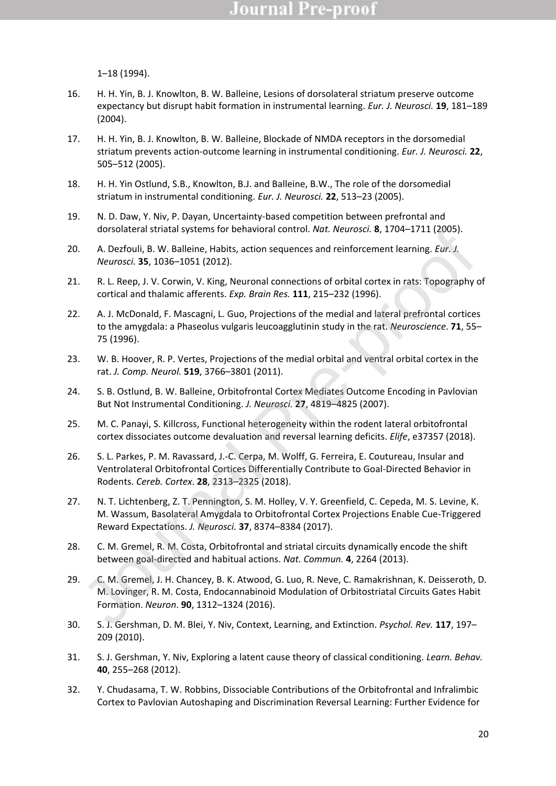1–18 (1994).

- 16. H. H. Yin, B. J. Knowlton, B. W. Balleine, Lesions of dorsolateral striatum preserve outcome expectancy but disrupt habit formation in instrumental learning. *Eur. J. Neurosci.* **19**, 181–189 (2004).
- 17. H. H. Yin, B. J. Knowlton, B. W. Balleine, Blockade of NMDA receptors in the dorsomedial striatum prevents action-outcome learning in instrumental conditioning. *Eur. J. Neurosci.* **22**, 505–512 (2005).
- 18. H. H. Yin Ostlund, S.B., Knowlton, B.J. and Balleine, B.W., The role of the dorsomedial striatum in instrumental conditioning. *Eur. J. Neurosci.* **22**, 513–23 (2005).
- 19. N. D. Daw, Y. Niv, P. Dayan, Uncertainty-based competition between prefrontal and dorsolateral striatal systems for behavioral control. *Nat. Neurosci.* **8**, 1704–1711 (2005).
- 20. A. Dezfouli, B. W. Balleine, Habits, action sequences and reinforcement learning. *Eur. J. Neurosci.* **35**, 1036–1051 (2012).
- 21. R. L. Reep, J. V. Corwin, V. King, Neuronal connections of orbital cortex in rats: Topography of cortical and thalamic afferents. *Exp. Brain Res.* **111**, 215–232 (1996).
- 22. A. J. McDonald, F. Mascagni, L. Guo, Projections of the medial and lateral prefrontal cortices to the amygdala: a Phaseolus vulgaris leucoagglutinin study in the rat. *Neuroscience*. **71**, 55– 75 (1996).
- 23. W. B. Hoover, R. P. Vertes, Projections of the medial orbital and ventral orbital cortex in the rat. *J. Comp. Neurol.* **519**, 3766–3801 (2011).
- 24. S. B. Ostlund, B. W. Balleine, Orbitofrontal Cortex Mediates Outcome Encoding in Pavlovian But Not Instrumental Conditioning. *J. Neurosci.* **27**, 4819–4825 (2007).
- 25. M. C. Panayi, S. Killcross, Functional heterogeneity within the rodent lateral orbitofrontal cortex dissociates outcome devaluation and reversal learning deficits. *Elife*, e37357 (2018).
- 26. S. L. Parkes, P. M. Ravassard, J.-C. Cerpa, M. Wolff, G. Ferreira, E. Coutureau, Insular and Ventrolateral Orbitofrontal Cortices Differentially Contribute to Goal-Directed Behavior in Rodents. *Cereb. Cortex*. **28**, 2313–2325 (2018).
- 27. N. T. Lichtenberg, Z. T. Pennington, S. M. Holley, V. Y. Greenfield, C. Cepeda, M. S. Levine, K. M. Wassum, Basolateral Amygdala to Orbitofrontal Cortex Projections Enable Cue-Triggered Reward Expectations. *J. Neurosci.* **37**, 8374–8384 (2017). orsolateral striatal systems for benavioral control. Not. Neurosci. 8, 1704–1711 (2005).<br>
A. Dezfouli, B. W. Balleine, Habits, action sequences and reinforcement learning. Eur. J.<br>
Neurosci. 35, 1036–1051 (2012).<br>
R. L. Re
- 28. C. M. Gremel, R. M. Costa, Orbitofrontal and striatal circuits dynamically encode the shift between goal-directed and habitual actions. *Nat. Commun.* **4**, 2264 (2013).
- 29. C. M. Gremel, J. H. Chancey, B. K. Atwood, G. Luo, R. Neve, C. Ramakrishnan, K. Deisseroth, D. M. Lovinger, R. M. Costa, Endocannabinoid Modulation of Orbitostriatal Circuits Gates Habit Formation. *Neuron*. **90**, 1312–1324 (2016).
- 30. S. J. Gershman, D. M. Blei, Y. Niv, Context, Learning, and Extinction. *Psychol. Rev.* **117**, 197– 209 (2010).
- 31. S. J. Gershman, Y. Niv, Exploring a latent cause theory of classical conditioning. *Learn. Behav.* **40**, 255–268 (2012).
- 32. Y. Chudasama, T. W. Robbins, Dissociable Contributions of the Orbitofrontal and Infralimbic Cortex to Pavlovian Autoshaping and Discrimination Reversal Learning: Further Evidence for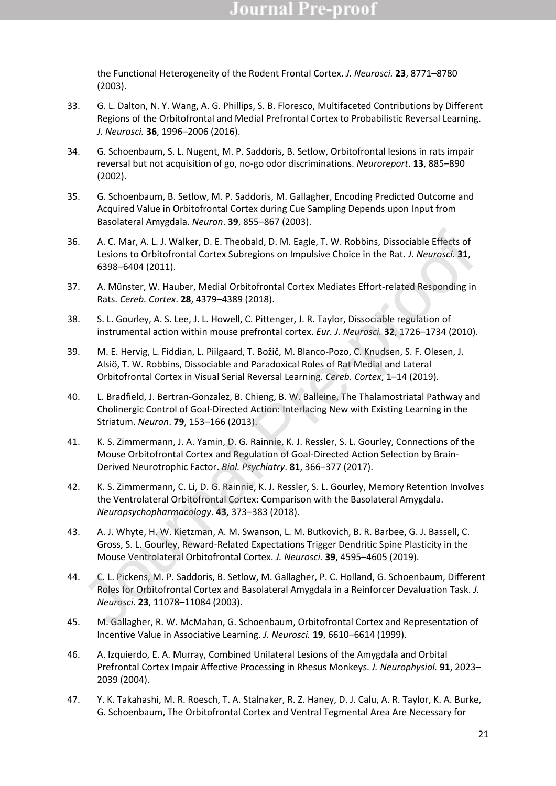the Functional Heterogeneity of the Rodent Frontal Cortex. *J. Neurosci.* **23**, 8771–8780 (2003).

- 33. G. L. Dalton, N. Y. Wang, A. G. Phillips, S. B. Floresco, Multifaceted Contributions by Different Regions of the Orbitofrontal and Medial Prefrontal Cortex to Probabilistic Reversal Learning. *J. Neurosci.* **36**, 1996–2006 (2016).
- 34. G. Schoenbaum, S. L. Nugent, M. P. Saddoris, B. Setlow, Orbitofrontal lesions in rats impair reversal but not acquisition of go, no-go odor discriminations. *Neuroreport*. **13**, 885–890 (2002).
- 35. G. Schoenbaum, B. Setlow, M. P. Saddoris, M. Gallagher, Encoding Predicted Outcome and Acquired Value in Orbitofrontal Cortex during Cue Sampling Depends upon Input from Basolateral Amygdala. *Neuron*. **39**, 855–867 (2003).
- 36. A. C. Mar, A. L. J. Walker, D. E. Theobald, D. M. Eagle, T. W. Robbins, Dissociable Effects of Lesions to Orbitofrontal Cortex Subregions on Impulsive Choice in the Rat. *J. Neurosci.* **31**, 6398–6404 (2011).
- 37. A. Münster, W. Hauber, Medial Orbitofrontal Cortex Mediates Effort-related Responding in Rats. *Cereb. Cortex*. **28**, 4379–4389 (2018).
- 38. S. L. Gourley, A. S. Lee, J. L. Howell, C. Pittenger, J. R. Taylor, Dissociable regulation of instrumental action within mouse prefrontal cortex. *Eur. J. Neurosci.* **32**, 1726–1734 (2010).
- 39. M. E. Hervig, L. Fiddian, L. Piilgaard, T. Božič, M. Blanco-Pozo, C. Knudsen, S. F. Olesen, J. Alsiö, T. W. Robbins, Dissociable and Paradoxical Roles of Rat Medial and Lateral Orbitofrontal Cortex in Visual Serial Reversal Learning. *Cereb. Cortex*, 1–14 (2019).
- 40. L. Bradfield, J. Bertran-Gonzalez, B. Chieng, B. W. Balleine, The Thalamostriatal Pathway and Cholinergic Control of Goal-Directed Action: Interlacing New with Existing Learning in the Striatum. *Neuron*. **79**, 153–166 (2013).
- 41. K. S. Zimmermann, J. A. Yamin, D. G. Rainnie, K. J. Ressler, S. L. Gourley, Connections of the Mouse Orbitofrontal Cortex and Regulation of Goal-Directed Action Selection by Brain-Derived Neurotrophic Factor. *Biol. Psychiatry*. **81**, 366–377 (2017).
- 42. K. S. Zimmermann, C. Li, D. G. Rainnie, K. J. Ressler, S. L. Gourley, Memory Retention Involves the Ventrolateral Orbitofrontal Cortex: Comparison with the Basolateral Amygdala. *Neuropsychopharmacology*. **43**, 373–383 (2018).
- 43. A. J. Whyte, H. W. Kietzman, A. M. Swanson, L. M. Butkovich, B. R. Barbee, G. J. Bassell, C. Gross, S. L. Gourley, Reward-Related Expectations Trigger Dendritic Spine Plasticity in the Mouse Ventrolateral Orbitofrontal Cortex. *J. Neurosci.* **39**, 4595–4605 (2019).
- 44. C. L. Pickens, M. P. Saddoris, B. Setlow, M. Gallagher, P. C. Holland, G. Schoenbaum, Different Roles for Orbitofrontal Cortex and Basolateral Amygdala in a Reinforcer Devaluation Task. *J. Neurosci.* **23**, 11078–11084 (2003). . A. C. Mar, A. L. J. Walker, D. E. Theobald, D. M. Eagle, T. W. Robbins, Dissociable Effects of<br>Lesions to Orbitofrontal Cortex Subregions on Impulsive Choice in the Rat. J. Neurosci. 31,<br>6398-6404 (2011).<br>A. Münster, W.
- 45. M. Gallagher, R. W. McMahan, G. Schoenbaum, Orbitofrontal Cortex and Representation of Incentive Value in Associative Learning. *J. Neurosci.* **19**, 6610–6614 (1999).
- 46. A. Izquierdo, E. A. Murray, Combined Unilateral Lesions of the Amygdala and Orbital Prefrontal Cortex Impair Affective Processing in Rhesus Monkeys. *J. Neurophysiol.* **91**, 2023– 2039 (2004).
- 47. Y. K. Takahashi, M. R. Roesch, T. A. Stalnaker, R. Z. Haney, D. J. Calu, A. R. Taylor, K. A. Burke, G. Schoenbaum, The Orbitofrontal Cortex and Ventral Tegmental Area Are Necessary for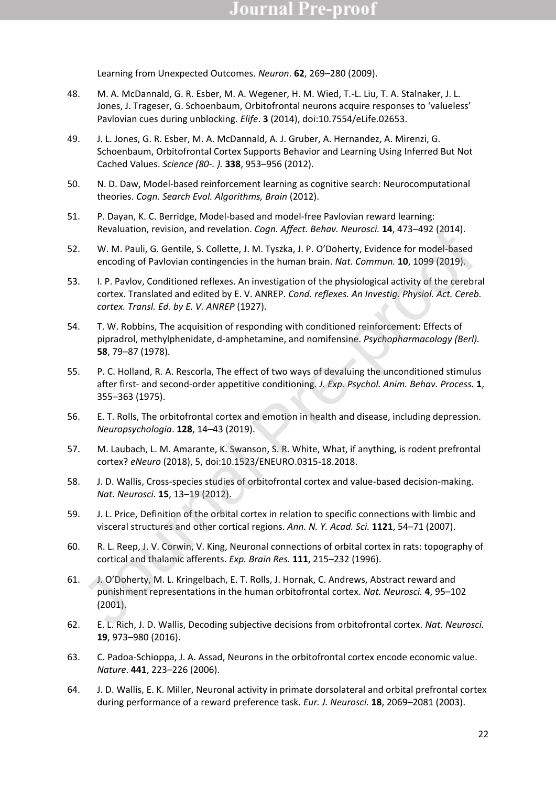Learning from Unexpected Outcomes. *Neuron*. **62**, 269–280 (2009).

- 48. M. A. McDannald, G. R. Esber, M. A. Wegener, H. M. Wied, T.-L. Liu, T. A. Stalnaker, J. L. Jones, J. Trageser, G. Schoenbaum, Orbitofrontal neurons acquire responses to 'valueless' Pavlovian cues during unblocking. *Elife*. **3** (2014), doi:10.7554/eLife.02653.
- 49. J. L. Jones, G. R. Esber, M. A. McDannald, A. J. Gruber, A. Hernandez, A. Mirenzi, G. Schoenbaum, Orbitofrontal Cortex Supports Behavior and Learning Using Inferred But Not Cached Values. *Science (80-. ).* **338**, 953–956 (2012).
- 50. N. D. Daw, Model-based reinforcement learning as cognitive search: Neurocomputational theories. *Cogn. Search Evol. Algorithms, Brain* (2012).
- 51. P. Dayan, K. C. Berridge, Model-based and model-free Pavlovian reward learning: Revaluation, revision, and revelation. *Cogn. Affect. Behav. Neurosci.* **14**, 473–492 (2014).
- 52. W. M. Pauli, G. Gentile, S. Collette, J. M. Tyszka, J. P. O'Doherty, Evidence for model-based encoding of Pavlovian contingencies in the human brain. *Nat. Commun.* **10**, 1099 (2019).
- 53. I. P. Pavlov, Conditioned reflexes. An investigation of the physiological activity of the cerebral cortex. Translated and edited by E. V. ANREP. *Cond. reflexes. An Investig. Physiol. Act. Cereb. cortex. Transl. Ed. by E. V. ANREP* (1927). Revaluation, Fevision, and revelation. *Logn. Alffect. Behav. Neurosci.* 14, 473-492 (2014).<br>
W. M. Pauli, G. Gentlie, S. Collette, J. M. Tyska, J. P. O'fonberty, Evidence for model-based<br>
encoding of Pavlovian contingenci
- 54. T. W. Robbins, The acquisition of responding with conditioned reinforcement: Effects of pipradrol, methylphenidate, d-amphetamine, and nomifensine. *Psychopharmacology (Berl).* **58**, 79–87 (1978).
- 55. P. C. Holland, R. A. Rescorla, The effect of two ways of devaluing the unconditioned stimulus after first- and second-order appetitive conditioning. *J. Exp. Psychol. Anim. Behav. Process.* **1**, 355–363 (1975).
- 56. E. T. Rolls, The orbitofrontal cortex and emotion in health and disease, including depression. *Neuropsychologia*. **128**, 14–43 (2019).
- 57. M. Laubach, L. M. Amarante, K. Swanson, S. R. White, What, if anything, is rodent prefrontal cortex? *eNeuro* (2018), 5, doi:10.1523/ENEURO.0315-18.2018.
- 58. J. D. Wallis, Cross-species studies of orbitofrontal cortex and value-based decision-making. *Nat. Neurosci.* **15**, 13–19 (2012).
- 59. J. L. Price, Definition of the orbital cortex in relation to specific connections with limbic and visceral structures and other cortical regions. *Ann. N. Y. Acad. Sci.* **1121**, 54–71 (2007).
- 60. R. L. Reep, J. V. Corwin, V. King, Neuronal connections of orbital cortex in rats: topography of cortical and thalamic afferents. *Exp. Brain Res.* **111**, 215–232 (1996).
- 61. J. O'Doherty, M. L. Kringelbach, E. T. Rolls, J. Hornak, C. Andrews, Abstract reward and punishment representations in the human orbitofrontal cortex. *Nat. Neurosci.* **4**, 95–102 (2001).
- 62. E. L. Rich, J. D. Wallis, Decoding subjective decisions from orbitofrontal cortex. *Nat. Neurosci.* **19**, 973–980 (2016).
- 63. C. Padoa-Schioppa, J. A. Assad, Neurons in the orbitofrontal cortex encode economic value. *Nature*. **441**, 223–226 (2006).
- 64. J. D. Wallis, E. K. Miller, Neuronal activity in primate dorsolateral and orbital prefrontal cortex during performance of a reward preference task. *Eur. J. Neurosci.* **18**, 2069–2081 (2003).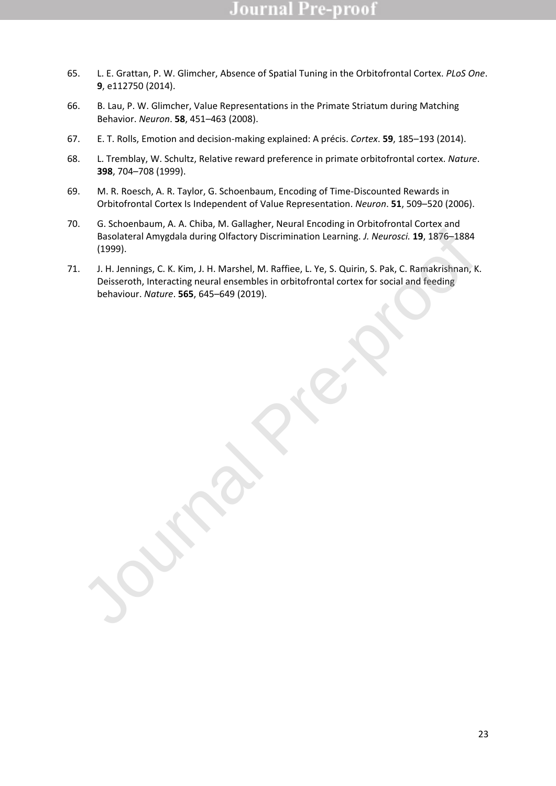- 65. L. E. Grattan, P. W. Glimcher, Absence of Spatial Tuning in the Orbitofrontal Cortex. *PLoS One*. **9**, e112750 (2014).
- 66. B. Lau, P. W. Glimcher, Value Representations in the Primate Striatum during Matching Behavior. *Neuron*. **58**, 451–463 (2008).
- 67. E. T. Rolls, Emotion and decision-making explained: A précis. *Cortex*. **59**, 185–193 (2014).
- 68. L. Tremblay, W. Schultz, Relative reward preference in primate orbitofrontal cortex. *Nature*. **398**, 704–708 (1999).
- 69. M. R. Roesch, A. R. Taylor, G. Schoenbaum, Encoding of Time-Discounted Rewards in Orbitofrontal Cortex Is Independent of Value Representation. *Neuron*. **51**, 509–520 (2006).
- 70. G. Schoenbaum, A. A. Chiba, M. Gallagher, Neural Encoding in Orbitofrontal Cortex and Basolateral Amygdala during Olfactory Discrimination Learning. *J. Neurosci.* **19**, 1876–1884 (1999).
- 71. J. H. Jennings, C. K. Kim, J. H. Marshel, M. Raffiee, L. Ye, S. Quirin, S. Pak, C. Ramakrishnan, K. Deisseroth, Interacting neural ensembles in orbitofrontal cortex for social and feeding Basolateral Amygdala during Olfactory Discrimination Learning. *J. Neurosci*. **19, 1876–1884**<br>
(1999).<br>
J. H. Jennings, C. K. Kim, J. H. Marshel, M. Raffiee, L. Ye, S. Quirin, S. Pak, C. Ramakrishnan, P.<br>
Delseroth, Intera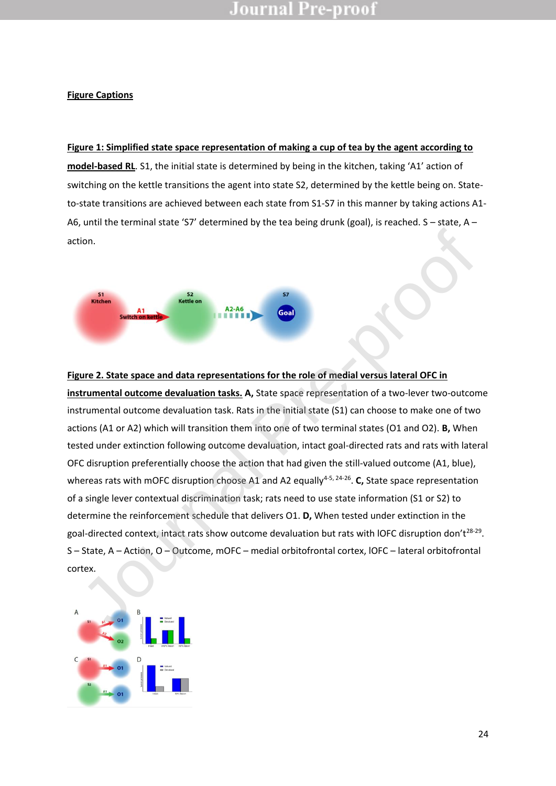### **Figure Captions**

**Figure 1: Simplified state space representation of making a cup of tea by the agent according to model-based RL**. S1, the initial state is determined by being in the kitchen, taking 'A1' action of switching on the kettle transitions the agent into state S2, determined by the kettle being on. Stateto-state transitions are achieved between each state from S1-S7 in this manner by taking actions A1- A6, until the terminal state 'S7' determined by the tea being drunk (goal), is reached. S – state, A – action.



**Figure 2. State space and data representations for the role of medial versus lateral OFC in instrumental outcome devaluation tasks. A,** State space representation of a two-lever two-outcome instrumental outcome devaluation task. Rats in the initial state (S1) can choose to make one of two actions (A1 or A2) which will transition them into one of two terminal states (O1 and O2). **B,** When tested under extinction following outcome devaluation, intact goal-directed rats and rats with lateral OFC disruption preferentially choose the action that had given the still-valued outcome (A1, blue), whereas rats with mOFC disruption choose A1 and A2 equally<sup>4-5, 24-26</sup>. C, State space representation of a single lever contextual discrimination task; rats need to use state information (S1 or S2) to determine the reinforcement schedule that delivers O1. **D,** When tested under extinction in the goal-directed context, intact rats show outcome devaluation but rats with IOFC disruption don't<sup>28-29</sup>. S – State, A – Action, O – Outcome, mOFC – medial orbitofrontal cortex, lOFC – lateral orbitofrontal **Example 12. Correct Correct Correct Correct Correct Correct Correct Correct Correct Correct Correct Correct Correct Correct Correct Correct Correct Correct Correct Correct Correct Correct Correct Correct Correct Correc** 

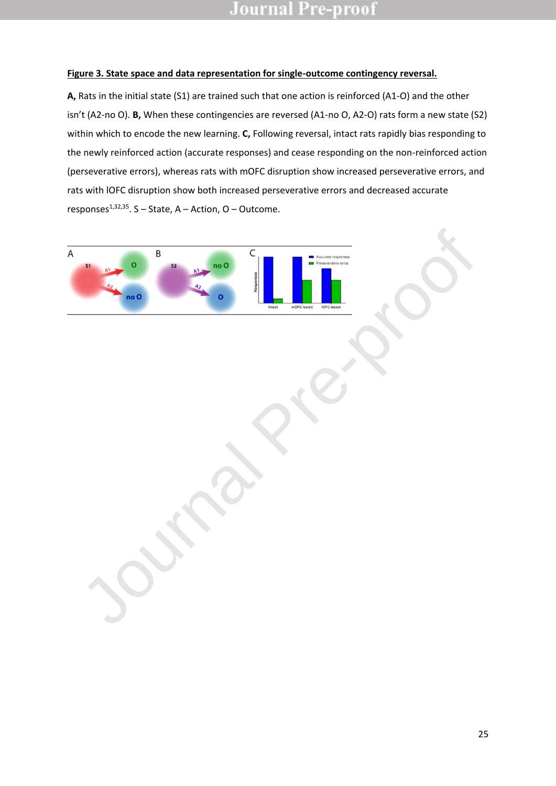### **Figure 3. State space and data representation for single-outcome contingency reversal.**

**A,** Rats in the initial state (S1) are trained such that one action is reinforced (A1-O) and the other isn't (A2-no O). **B,** When these contingencies are reversed (A1-no O, A2-O) rats form a new state (S2) within which to encode the new learning. **C,** Following reversal, intact rats rapidly bias responding to the newly reinforced action (accurate responses) and cease responding on the non-reinforced action (perseverative errors), whereas rats with mOFC disruption show increased perseverative errors, and rats with lOFC disruption show both increased perseverative errors and decreased accurate responses $^{1,32,35}$ . S – State, A – Action, O – Outcome.

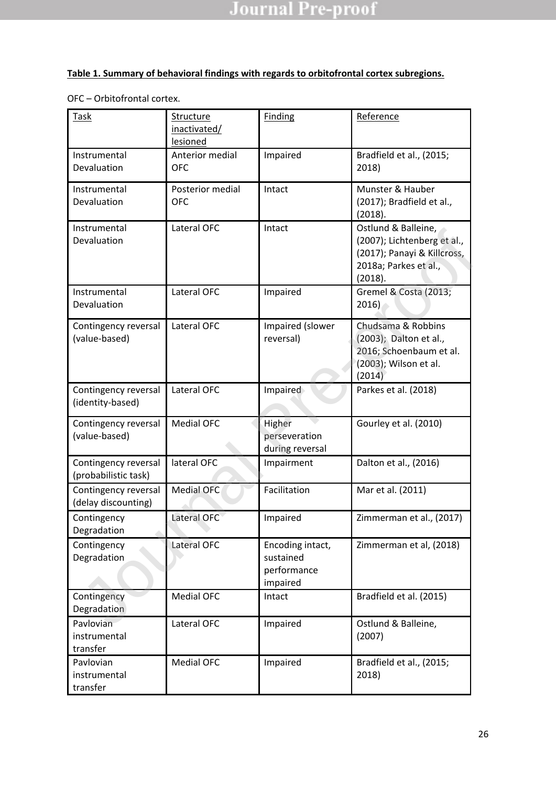### **Table 1. Summary of behavioral findings with regards to orbitofrontal cortex subregions.**

| Task                                         | <b>Structure</b><br>inactivated/<br>lesioned | <b>Finding</b>                                           | Reference                                                                                                             |
|----------------------------------------------|----------------------------------------------|----------------------------------------------------------|-----------------------------------------------------------------------------------------------------------------------|
| Instrumental<br>Devaluation                  | Anterior medial<br><b>OFC</b>                | Impaired                                                 | Bradfield et al., (2015;<br>2018)                                                                                     |
| Instrumental<br>Devaluation                  | Posterior medial<br><b>OFC</b>               | Intact                                                   | Munster & Hauber<br>(2017); Bradfield et al.,<br>(2018).                                                              |
| Instrumental<br>Devaluation                  | Lateral OFC                                  | Intact                                                   | Ostlund & Balleine,<br>(2007); Lichtenberg et al.,<br>(2017); Panayi & Killcross,<br>2018a; Parkes et al.,<br>(2018). |
| Instrumental<br>Devaluation                  | Lateral OFC                                  | Impaired                                                 | Gremel & Costa (2013;<br>2016                                                                                         |
| Contingency reversal<br>(value-based)        | Lateral OFC                                  | Impaired (slower<br>reversal)                            | Chudsama & Robbins<br>(2003); Dalton et al.,<br>2016; Schoenbaum et al.<br>(2003); Wilson et al.<br>(2014)            |
| Contingency reversal<br>(identity-based)     | Lateral OFC                                  | Impaired                                                 | Parkes et al. (2018)                                                                                                  |
| Contingency reversal<br>(value-based)        | <b>Medial OFC</b>                            | Higher<br>perseveration<br>during reversal               | Gourley et al. (2010)                                                                                                 |
| Contingency reversal<br>(probabilistic task) | lateral OFC                                  | Impairment                                               | Dalton et al., (2016)                                                                                                 |
| Contingency reversal<br>(delay discounting)  | <b>Medial OFC</b>                            | Facilitation                                             | Mar et al. (2011)                                                                                                     |
| Contingency<br>Degradation                   | Lateral OFC                                  | Impaired                                                 | Zimmerman et al., (2017)                                                                                              |
| Contingency<br>Degradation                   | <b>Lateral OFC</b>                           | Encoding intact,<br>sustained<br>performance<br>impaired | Zimmerman et al, (2018)                                                                                               |
| Contingency<br>Degradation                   | <b>Medial OFC</b>                            | Intact                                                   | Bradfield et al. (2015)                                                                                               |
| Pavlovian<br>instrumental<br>transfer        | Lateral OFC                                  | Impaired                                                 | Ostlund & Balleine,<br>(2007)                                                                                         |
| Pavlovian<br>instrumental<br>transfer        | <b>Medial OFC</b>                            | Impaired                                                 | Bradfield et al., (2015;<br>2018)                                                                                     |

OFC – Orbitofrontal cortex.